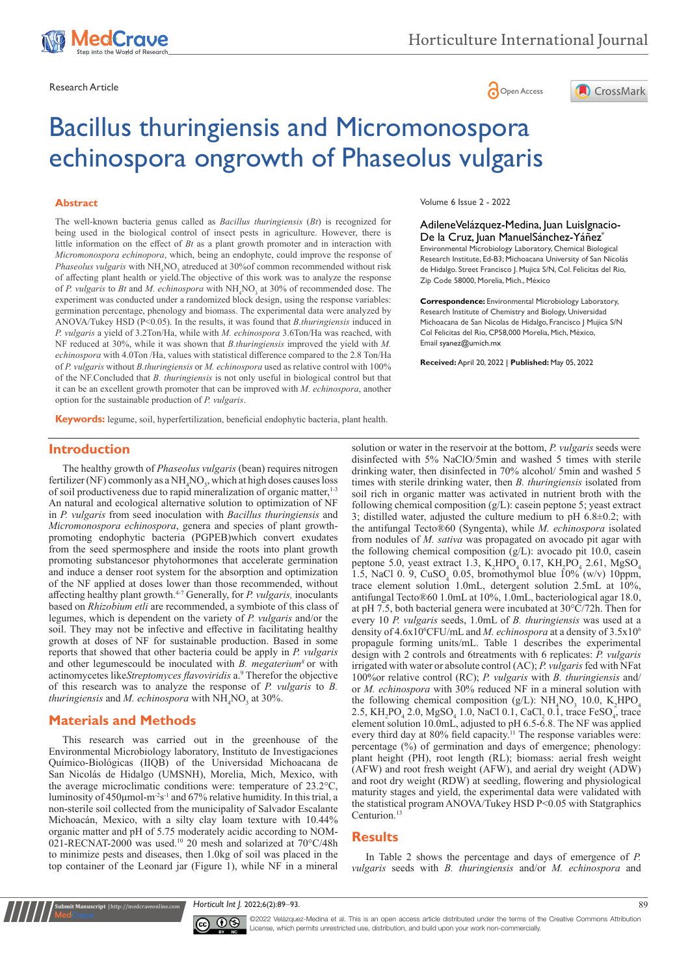

Research Article **Contracts and Contracts and Contracts and Contracts and Contracts and Contracts and Copen Access** 



# Bacillus thuringiensis and Micromonospora echinospora ongrowth of Phaseolus vulgaris

#### **Abstract**

The well-known bacteria genus called as *Bacillus thuringiensis* (*Bt*) is recognized for being used in the biological control of insect pests in agriculture. However, there is little information on the effect of *Bt* as a plant growth promoter and in interaction with *Micromonospora echinopora*, which, being an endophyte, could improve the response of *Phaseolus vulgaris* with NH<sub>4</sub>NO<sub>3</sub> atreduced at 30% of common recommended without risk of affecting plant health or yield.The objective of this work was to analyze the response of *P. vulgaris* to *Bt* and *M. echinospora* with  $NH<sub>4</sub>NO<sub>3</sub>$  at 30% of recommended dose. The experiment was conducted under a randomized block design, using the response variables: germination percentage, phenology and biomass. The experimental data were analyzed by ANOVA/Tukey HSD (P<0.05). In the results, it was found that *B.thuringiensis* induced in *P. vulgaris* a yield of 3.2Ton/Ha, while with *M. echinospora* 3.6Ton/Ha was reached, with NF reduced at 30%, while it was shown that *B.thuringiensis* improved the yield with *M. echinospora* with 4.0Ton /Ha, values with statistical difference compared to the 2.8 Ton/Ha of *P. vulgaris* without *B.thuringiensis* or *M. echinospora* used as relative control with 100% of the NF.Concluded that *B. thuringiensis* is not only useful in biological control but that it can be an excellent growth promoter that can be improved with *M. echinospora*, another option for the sustainable production of *P. vulgaris*.

Volume 6 Issue 2 - 2022

AdileneVelázquez-Medina, Juan LuisIgnacio-De la Cruz, Juan ManuelSánchez-Yáñez\* Environmental Microbiology Laboratory, Chemical Biological Research Institute, Ed-B3; Michoacana University of San Nicolás de Hidalgo. Street Francisco J. Mujica S/N, Col. Felicitas del Rio, Zip Code 58000, Morelia, Mich., México

**Correspondence:** Environmental Microbiology Laboratory, Research Institute of Chemistry and Biology, Universidad Michoacana de San Nicolas de Hidalgo, Francisco J Mujica S/N Col Felicitas del Rio, CP58,000 Morelia, Mich, México, Email syanez@umich.mx

**Received:** April 20, 2022 | **Published:** May 05, 2022

**Keywords:** legume, soil, hyperfertilization, beneficial endophytic bacteria, plant health.

# **Introduction**

The healthy growth of *Phaseolus vulgaris* (bean) requires nitrogen fertilizer (NF) commonly as a  $NH<sub>4</sub>NO<sub>3</sub>$ , which at high doses causes loss of soil productiveness due to rapid mineralization of organic matter,<sup>1-3</sup> An natural and ecological alternative solution to optimization of NF in *P. vulgaris* from seed inoculation with *Bacillus thuringiensis* and *Micromonospora echinospora*, genera and species of plant growthpromoting endophytic bacteria (PGPEB)which convert exudates from the seed spermosphere and inside the roots into plant growth promoting substancesor phytohormones that accelerate germination and induce a denser root system for the absorption and optimization of the NF applied at doses lower than those recommended, without affecting healthy plant growth.4-7 Generally, for *P. vulgaris,* inoculants based on *Rhizobium etli* are recommended, a symbiote of this class of legumes, which is dependent on the variety of *P. vulgaris* and/or the soil. They may not be infective and effective in facilitating healthy growth at doses of NF for sustainable production. Based in some reports that showed that other bacteria could be apply in *P. vulgaris*  and other legumescould be inoculated with *B. megaterium8* or with actinomycetes likeStreptomyces flavoviridis a.<sup>9</sup> Therefor the objective of this research was to analyze the response of *P. vulgaris* to *B. thuringiensis* and *M. echinospora* with  $\mathrm{NH}_4\mathrm{NO}_3^3$  at 30%.

## **Materials and Methods**

**nit Manuscript** | http://medcraveonline.co

This research was carried out in the greenhouse of the Environmental Microbiology laboratory, Instituto de Investigaciones Químico-Biológicas (IIQB) of the Universidad Michoacana de San Nicolás de Hidalgo (UMSNH), Morelia, Mich, Mexico, with the average microclimatic conditions were: temperature of 23.2°C, luminosity of  $450 \mu$ mol-m<sup>-2</sup>s<sup>-1</sup> and  $67\%$  relative humidity. In this trial, a non-sterile soil collected from the municipality of Salvador Escalante Michoacán, Mexico, with a silty clay loam texture with 10.44% organic matter and pH of 5.75 moderately acidic according to NOM-021-RECNAT-2000 was used.<sup>10</sup> 20 mesh and solarized at 70°C/48h to minimize pests and diseases, then 1.0kg of soil was placed in the top container of the Leonard jar (Figure 1), while NF in a mineral solution or water in the reservoir at the bottom, *P. vulgaris* seeds were disinfected with 5% NaClO/5min and washed 5 times with sterile drinking water, then disinfected in 70% alcohol/ 5min and washed 5 times with sterile drinking water, then *B. thuringiensis* isolated from soil rich in organic matter was activated in nutrient broth with the following chemical composition (g/L): casein peptone 5; yeast extract 3; distilled water, adjusted the culture medium to pH 6.8±0.2; with the antifungal Tecto®60 (Syngenta), while *M. echinospora* isolated from nodules of *M. sativa* was propagated on avocado pit agar with the following chemical composition (g/L): avocado pit 10.0, casein peptone 5.0, yeast extract 1.3,  $K_2 HPO_4$  0.17,  $KH_2PO_4$  2.61,  $MgSO_4$ 1.5, NaCl 0. 9, CuSO<sub>4</sub> 0.05, bromothymol blue  $10\%$  (w/v) 10ppm, trace element solution 1.0mL, detergent solution 2.5mL at 10%, antifungal Tecto®60 1.0mL at 10%, 1.0mL, bacteriological agar 18.0, at pH 7.5, both bacterial genera were incubated at 30°C/72h. Then for every 10 *P. vulgaris* seeds, 1.0mL of *B. thuringiensis* was used at a density of 4.6x10<sup>6</sup>CFU/mL and *M. echinospora* at a density of 3.5x10<sup>6</sup> propagule forming units/mL. Table 1 describes the experimental design with 2 controls and 6treatments with 6 replicates: *P. vulgaris* irrigated with water or absolute control (AC); *P. vulgaris* fed with NFat 100%or relative control (RC); *P. vulgaris* with *B. thuringiensis* and/ or *M. echinospora* with 30% reduced NF in a mineral solution with the following chemical composition (g/L):  $NH_4NO_3$  10.0, K<sub>2</sub>HPO<sub>4</sub> 2.5,  $KH_2PO_4$  2.0,  $MgSO_4$  1.0, NaCl 0.1, CaCl<sub>2</sub> 0.1, trace FeSO<sub>4</sub>, trace element solution 10.0mL, adjusted to pH 6.5-6.8. The NF was applied every third day at 80% field capacity.<sup>11</sup> The response variables were: percentage (%) of germination and days of emergence; phenology: plant height (PH), root length (RL); biomass: aerial fresh weight (AFW) and root fresh weight (AFW), and aerial dry weight (ADW) and root dry weight (RDW) at seedling, flowering and physiological maturity stages and yield, the experimental data were validated with the statistical program ANOVA/Tukey HSD P<0.05 with Statgraphics Centurion.<sup>13</sup>

#### **Results**

In Table 2 shows the percentage and days of emergence of *P. vulgaris* seeds with *B. thuringiensis* and/or *M. echinospora* and

*Horticult Int J.* 2022;6(2):89‒93. 89



©2022 Velázquez-Medina et al. This is an open access article distributed under the terms of the Creative Commons Attribution License, which permits unrestricted use, distribution, and build upon your work non-commercially.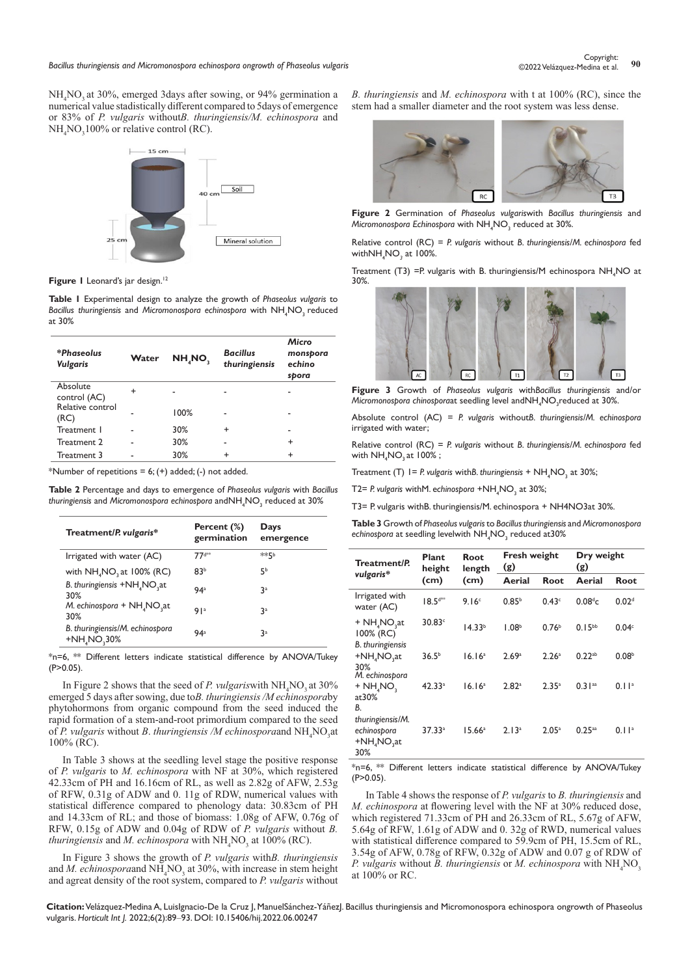*Bacillus thuringiensis and Micromonospora echinospora ongrowth of Phaseolus vulgaris* **<sup>90</sup>** Copyright:

NH<sub>4</sub>NO<sub>3</sub> at 30%, emerged 3days after sowing, or 94% germination a numerical value stadistically different compared to 5days of emergence or 83% of *P. vulgaris* without*B. thuringiensis/M. echinospora* and  $NH<sub>4</sub>NO<sub>3</sub>100%$  or relative control (RC).



Figure I Leonard's jar design.<sup>12</sup>

**Table 1** Experimental design to analyze the growth of *Phaseolus vulgaris* to Bacillus thuringiensis and Micromonospora echinospora with NH<sub>4</sub>NO<sub>3</sub> reduced at 30%

| *Phaseolus<br><b>Vulgaris</b> | Water     | NH <sub>A</sub> NO <sub>3</sub> | <b>Bacillus</b><br>thuringiensis | Micro<br>monspora<br>echino<br>spora |
|-------------------------------|-----------|---------------------------------|----------------------------------|--------------------------------------|
| Absolute<br>control (AC)      | $\ddot{}$ |                                 |                                  | ۰                                    |
| Relative control<br>(RC)      |           | 100%                            |                                  |                                      |
| Treatment 1                   |           | 30%                             | ÷                                |                                      |
| Treatment 2                   |           | 30%                             |                                  | ÷                                    |
| Treatment 3                   |           | 30%                             | $\ddot{}$                        | ÷                                    |

\*Number of repetitions =  $6$ ; (+) added; (-) not added.

**Table 2** Percentage and days to emergence of *Phaseolus vulgaris* with *Bacillus thuringiensis* and *Micromonospora echinospora* andNH4 NO3 reduced at 30%

| Treatment/P. vulgaris*                                      | Percent (%)<br>germination | Days<br>emergence |
|-------------------------------------------------------------|----------------------------|-------------------|
| Irrigated with water (AC)                                   | $77d**$                    | **⊑b              |
| with $NH4NO$ , at 100% (RC)                                 | 83 <sup>b</sup>            | 56                |
| B. thuringiensis +NH <sub>4</sub> NO <sub>3</sub> at<br>30% | 94 <sup>a</sup>            | 3ª                |
| $M.$ echinospora + NH, NO, at<br>30%                        | 91a                        | 3ª                |
| B. thuringiensis/M. echinospora<br>$+NHaNO330%$             | 94 <sup>a</sup>            | 3ª                |

\*n=6, \*\* Different letters indicate statistical difference by ANOVA/Tukey  $(P>0.05)$ .

In Figure 2 shows that the seed of *P. vulgaris* with  $NH_4NO_3$  at 30% emerged 5 days after sowing, due to*B. thuringiensis /M echinospora*by phytohormons from organic compound from the seed induced the rapid formation of a stem-and-root primordium compared to the seed of *P. vulgaris* without *B. thuringiensis /M echinospora*and NH<sub>4</sub>NO<sub>3</sub>at 100% (RC).

In Table 3 shows at the seedling level stage the positive response of *P. vulgaris* to *M. echinospora* with NF at 30%, which registered 42.33cm of PH and 16.16cm of RL, as well as 2.82g of AFW, 2.53g of RFW, 0.31g of ADW and 0. 11g of RDW, numerical values with statistical difference compared to phenology data: 30.83cm of PH and 14.33cm of RL; and those of biomass: 1.08g of AFW, 0.76g of RFW, 0.15g of ADW and 0.04g of RDW of *P. vulgaris* without *B. thuringiensis* and *M. echinospora* with  $\mathrm{NH}_4\mathrm{NO}_3$  at 100% (RC).

In Figure 3 shows the growth of *P. vulgaris* with*B. thuringiensis* and *M. echinospora*and NH<sub>4</sub>NO<sub>3</sub> at 30%, with increase in stem height and agreat density of the root system, compared to *P. vulgaris* without

*B. thuringiensis* and *M. echinospora* with t at 100% (RC), since the stem had a smaller diameter and the root system was less dense.



**Figure 2** Germination of *Phaseolus vulgaris*with *Bacillus thuringiensis* and *Micromonospora Echinospora* with NH4 NO3 reduced at 30%.

Relative control (RC) = *P. vulgaris* without *B. thuringiensis/M. echinospora* fed withNH4 NO*<sup>3</sup>* at 100%.

Treatment (T3) = P. vulgaris with B. thuringiensis/M echinospora  $NH_4$  NO at 30%.



**Figure 3** Growth of *Phaseolus vulgaris* with*Bacillus thuringiensis* and/or Micromonospora chinosporaat seedling level andNH<sub>4</sub>NO<sub>3</sub>reduced at 30%.

Absolute control (AC) = *P. vulgaris* without*B. thuringiensis/M. echinospora* irrigated with water;

Relative control (RC) = *P. vulgaris* without *B. thuringiensis/M. echinospora* fed with  $\mathsf{NH}_4\mathsf{NO}_3$  at 100% ;

Treatment (T) 1 = *P.* vulgaris with*B. thuringiensis* + NH<sub>4</sub>NO<sub>3</sub> at 30%;

T2= *P. vulgaris* withM. e*chinospora* +NH4 NO3 at 30%;

T3= P. vulgaris withB. thuringiensis/M. echinospora + NH4NO3at 30%.

**Table 3** Growth of *Phaseolus vulgaris* to *Bacillus thuringiensis* and *Micromonospora*  e*chinospora* at seedling levelwith  $\textsf{NH}_{4}\textsf{NO}_3$  reduced at30%

| Treatment/P.                                          | Plant<br>height<br>(cm) | Root<br>length<br>(cm) | Fresh weight<br>(g) |                   | Dry weight<br>(g)   |                   |
|-------------------------------------------------------|-------------------------|------------------------|---------------------|-------------------|---------------------|-------------------|
| vulgaris*                                             |                         |                        | Aerial              | Root              | Aerial              | Root              |
| Irrigated with<br>water (AC)                          | $18.54***$              | 9.16 <sup>c</sup>      | 0.85 <sup>b</sup>   | 0.43 <sup>c</sup> | 0.08 <sup>d</sup> c | 0.02 <sup>d</sup> |
| $+ NH4NO3at$<br>100% (RC)<br><b>B.</b> thuringiensis  | 30.83 <sup>c</sup>      | 14.33 <sup>b</sup>     | 1.08 <sup>b</sup>   | 0.76 <sup>b</sup> | $0.15^{bb}$         | 0.04 <sup>c</sup> |
| $+NH4NO3at$<br>30%<br>M. echinospora                  | 36.5 <sup>b</sup>       | 16.16 <sup>a</sup>     | 2.69a               | 2.26 <sup>a</sup> | $0.22^{ab}$         | 0.08 <sup>b</sup> |
| + NH, NO,<br>at30%<br>В.                              | 42.33a                  | 16.16 <sup>a</sup>     | 2.82 <sup>a</sup>   | 2.35 <sup>a</sup> | $0.31^{aa}$         | 0.11 <sup>a</sup> |
| thuringiensis/M.<br>echinospora<br>$+NH4NO3at$<br>30% | 37.33a                  | 15.66a                 | 2.13 <sup>a</sup>   | 2.05a             | $0.25^{aa}$         | 0.11 <sup>a</sup> |

\*n=6, \*\* Different letters indicate statistical difference by ANOVA/Tukey  $(P>0.05)$ .

In Table 4 shows the response of *P. vulgaris* to *B. thuringiensis* and *M. echinospora* at flowering level with the NF at 30% reduced dose, which registered 71.33cm of PH and 26.33cm of RL, 5.67g of AFW, 5.64g of RFW, 1.61g of ADW and 0. 32g of RWD, numerical values with statistical difference compared to 59.9cm of PH, 15.5cm of RL, 3.54g of AFW, 0.78g of RFW, 0.32g of ADW and 0.07 g of RDW of *P. vulgaris* without *B. thuringiensis* or *M. echinospora* with  $NH<sub>4</sub>NO<sub>3</sub>$ at 100% or RC.

**Citation:** Velázquez-Medina A, LuisIgnacio-De la Cruz J, ManuelSánchez-YáñezJ. Bacillus thuringiensis and Micromonospora echinospora ongrowth of Phaseolus vulgaris. *Horticult Int J.* 2022;6(2):89‒93. DOI: [10.15406/hij.2022.06.00247](https://doi.org/10.15406/hij.2022.06.00247)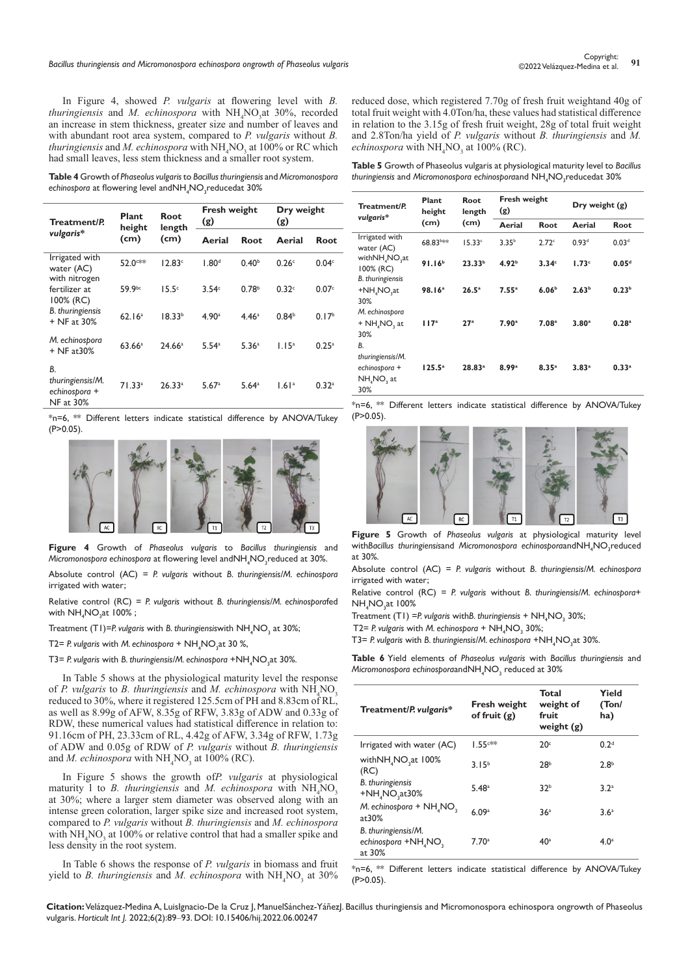In Figure 4, showed *P. vulgaris* at flowering level with *B.*  thuringiensis and *M. echinospora* with NH<sub>4</sub>NO<sub>3</sub>at 30%, recorded an increase in stem thickness, greater size and number of leaves and with abundant root area system, compared to *P. vulgaris* without *B. thuringiensis* and *M. echinospora* with  $NH_4NO_3$  at 100% or RC which had small leaves, less stem thickness and a smaller root system.

**Table 4** Growth of *Phaseolus vulgaris* to *Bacillus thuringiensis* and *Micromonospora*  e*chinospora* at flowering level and $\mathsf{NH}_4\mathsf{NO}_3$ reducedat 30%

| Treatment/P.<br>vulgaris*                                   | Plant<br>height<br>(cm) | Root<br>length<br>(cm) | Fresh weight<br>(g) |                     | Dry weight<br>(g) |                   |
|-------------------------------------------------------------|-------------------------|------------------------|---------------------|---------------------|-------------------|-------------------|
|                                                             |                         |                        | Aerial              | Root                | Aerial            | Root              |
| Irrigated with<br>water (AC)<br>with nitrogen               | 52.0**                  | 12.83c                 | 1.80 <sup>d</sup>   | 0.40 <sup>b</sup>   | 0.26 <sup>c</sup> | 0.04 <sup>c</sup> |
| fertilizer at<br>100% (RC)                                  | 59.9bc                  | 15.5 <sup>c</sup>      | 3.54 <sup>c</sup>   | 0.78 <sup>b</sup>   | 0.32c             | 0.07c             |
| <b>B.</b> thuringiensis<br>+ NF at 30%                      | 62.16 <sup>a</sup>      | 18.33 <sup>b</sup>     | 4.90 <sup>a</sup>   | 4.46 <sup>a</sup>   | 0.84 <sup>b</sup> | 0.17 <sup>b</sup> |
| M. echinospora<br>$+$ NF at 30%                             | 63.66a                  | $24.66^{\circ}$        | 5.54a               | 5.36 <sup>a</sup>   | 1.15 <sup>a</sup> | 0.25a             |
| В.<br>thuringiensis/M.<br>echinospora +<br><b>NF</b> at 30% | 71.33 <sup>a</sup>      | 26.33a                 | 5.67a               | $5.64$ <sup>a</sup> | 1.61a             | 0.32a             |

\*n=6, \*\* Different letters indicate statistical difference by ANOVA/Tukey  $(P>0.05)$ .



**Figure 4** Growth of *Phaseolus vulgaris* to *Bacillus thuringiensis* and Micromonospora echinospora at flowering level andNH<sub>4</sub>NO<sub>3</sub>reduced at 30%.

Absolute control (AC) = *P. vulgaris* without *B. thuringiensis/M. echinospora* irrigated with water;

Relative control (RC) = *P. vulgaris* without *B. thuringiensis/M. echinospora*fed with  $NH_{_4}NO_{_3}$ at 100% ;

Treatment (T1)=P. vulgaris with B. thuringiensiswith NH<sub>4</sub>NO<sub>3</sub> at 30%;

T2= *P.* vulgaris with *M.* echinospora +  $NH_4NO_3$ at 30 %,

T3= P. vulgaris with B. thuringiensis/M. echinospora +NH<sub>4</sub>NO<sub>3</sub>at 30%.

In Table 5 shows at the physiological maturity level the response of *P. vulgaris* to *B. thuringiensis* and *M. echinospora* with  $NH<sub>4</sub>NO<sub>3</sub>$ reduced to 30%, where it registered 125.5cm of PH and 8.83cm of RL, as well as 8.99g of AFW, 8.35g of RFW, 3.83g of ADW and 0.33g of RDW, these numerical values had statistical difference in relation to: 91.16cm of PH, 23.33cm of RL, 4.42g of AFW, 3.34g of RFW, 1.73g of ADW and 0.05g of RDW of *P. vulgaris* without *B. thuringiensis* and *M. echinospora* with  $NH<sub>4</sub>NO<sub>3</sub>$  at 100% (RC).

In Figure 5 shows the growth of*P. vulgaris* at physiological maturity 1 to *B. thuringiensis* and *M. echinospora* with  $NH<sub>4</sub>NO<sub>3</sub>$ at 30%; where a larger stem diameter was observed along with an intense green coloration, larger spike size and increased root system, compared to *P. vulgaris* without *B. thuringiensis* and *M. echinospora* with  $NH_4NO_3$  at 100% or relative control that had a smaller spike and less density in the root system.

In Table 6 shows the response of *P. vulgaris* in biomass and fruit yield to *B. thuringiensis* and *M. echinospora* with  $NH<sub>4</sub>NO<sub>3</sub>$  at 30% reduced dose, which registered 7.70g of fresh fruit weightand 40g of total fruit weight with 4.0Ton/ha, these values had statistical difference in relation to the 3.15g of fresh fruit weight, 28g of total fruit weight and 2.8Ton/ha yield of *P. vulgaris* without *B. thuringiensis* and *M. echinospora* with  $\mathrm{NH}_4\mathrm{NO}_3$  at 100% (RC).

**Table 5** Growth of Phaseolus vulgaris at physiological maturity level to *Bacillus thuringiensis* and *Micromonospora echinospora*and NH4 NO3 reducedat 30%

| Treatment/P.<br>vulgaris*                                                            | Plant<br>height    | Root<br>length     | (g)               | <b>Fresh weight</b> |                   | Dry weight $(g)$  |  |
|--------------------------------------------------------------------------------------|--------------------|--------------------|-------------------|---------------------|-------------------|-------------------|--|
|                                                                                      | (cm)               | (cm)               | Aerial            | Root                | Aerial            | Root              |  |
| Irrigated with<br>water (AC)                                                         | 68.83b**           | 15.33c             | 3.35 <sup>b</sup> | $2.72^{\circ}$      | 0.93 <sup>d</sup> | 0.03 <sup>d</sup> |  |
| with NH <sub>4</sub> NO <sub>2</sub> at<br>$100\%$ (RC)                              | 91.16 <sup>b</sup> | 23.33 <sup>b</sup> | 4.92 <sup>b</sup> | 3.34c               | 1.73 <sup>c</sup> | 0.05 <sup>d</sup> |  |
| <b>B.</b> thuringiensis<br>+NH <sub>4</sub> NO <sub>2</sub> at<br>30%                | 98.16 <sup>a</sup> | 26.5a              | 7.55a             | 6.06 <sup>b</sup>   | 2.63 <sup>b</sup> | 0.23 <sup>b</sup> |  |
| M. echinospora<br>+ NH <sub>4</sub> NO <sub>2</sub> at<br>30%                        | 117 <sup>a</sup>   | 27a                | 7.90 <sup>a</sup> | 7.08 <sup>a</sup>   | 3.80 <sup>a</sup> | 0.28a             |  |
| В.<br>thuringiensis/M.<br>echinospora +<br>NH <sub>4</sub> NO <sub>2</sub> at<br>30% | $125.5^a$          | 28.83a             | 8.99a             | 8.35 <sup>a</sup>   | 3.83 <sup>a</sup> | 0.33 <sup>a</sup> |  |

\*n=6, \*\* Different letters indicate statistical difference by ANOVA/Tukey  $(P>0.05)$ .



**Figure 5** Growth of *Phaseolus vulgaris* at physiological maturity level withBacillus thuringiensisand Micromonospora echinosporaandNH<sub>4</sub>NO<sub>3</sub>reduced at 30%.

Absolute control (AC) = *P. vulgaris* without *B. thuringiensis/M. echinospora* irrigated with water;

Relative control (RC) = *P. vulgaris* without *B. thuringiensis/M. echinospora*+  $NH_4$ NO<sub>3</sub>at 100%

Treatment (T1) = P. vulgaris with B. thuringiensis + NH<sub>4</sub>NO<sub>3</sub> 30%;

T2= P. vulgaris with M. echinospora + NH<sub>4</sub>NO<sub>3</sub> 30%;

T3= P. vulgaris with B. thuringiensis/M. echinospora +NH<sub>4</sub>NO<sub>3</sub>at 30%.

**Table 6** Yield elements of *Phaseolus vulgaris* with *Bacillus thuringiensis* and  $\mathsf{Micromonospora}$   $echinos pora$ and $\mathsf{NH}_4\mathsf{NO}_3$   $reduced$  at  $30\%$ 

| Treatment/P. vulgaris*                                                        | <b>Fresh weight</b><br>of fruit $(g)$ | Total<br>weight of<br>fruit<br>weight $(g)$ | Yield<br>(Ton/<br>ha) |
|-------------------------------------------------------------------------------|---------------------------------------|---------------------------------------------|-----------------------|
| Irrigated with water (AC)                                                     | $1.55$ <sup>c**</sup>                 | 20 <sup>c</sup>                             | 0.2 <sup>d</sup>      |
| with NH <sub>4</sub> NO <sub>3</sub> at 100%<br>(RC)                          | $3.15^{b}$                            | 28 <sup>b</sup>                             | 2.8 <sup>b</sup>      |
| <b>B.</b> thuringiensis<br>$+NH4NO3at30%$                                     | $5.48^{\circ}$                        | 32 <sup>b</sup>                             | 3.2 <sup>a</sup>      |
| M. echinospora + NH, NO,<br>at $30\%$                                         | 6.09a                                 | 36 <sup>a</sup>                             | 3.6 <sup>a</sup>      |
| B. thuringiensis/M.<br>echinospora +NH <sub>4</sub> NO <sub>3</sub><br>at 30% | 7.70a                                 | 40 <sup>a</sup>                             | 4.0 <sup>a</sup>      |

\*n=6, \*\* Different letters indicate statistical difference by ANOVA/Tukey (P>0.05).

**Citation:** Velázquez-Medina A, LuisIgnacio-De la Cruz J, ManuelSánchez-YáñezJ. Bacillus thuringiensis and Micromonospora echinospora ongrowth of Phaseolus vulgaris. *Horticult Int J.* 2022;6(2):89‒93. DOI: [10.15406/hij.2022.06.00247](https://doi.org/10.15406/hij.2022.06.00247)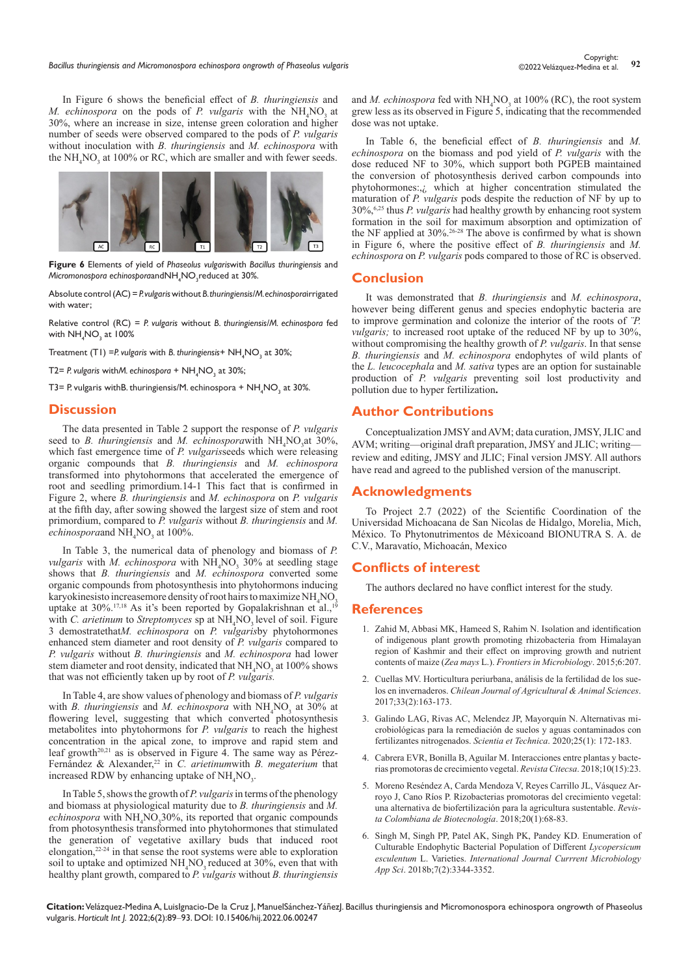In Figure 6 shows the beneficial effect of *B. thuringiensis* and *M. echinospora* on the pods of *P. vulgaris* with the NH<sub>4</sub>NO<sub>3</sub> at 30%, where an increase in size, intense green coloration and higher number of seeds were observed compared to the pods of *P. vulgaris* without inoculation with *B. thuringiensis* and *M. echinospora* with the  $NH<sub>4</sub>NO<sub>3</sub>$  at 100% or RC, which are smaller and with fewer seeds.



**Figure 6** Elements of yield of *Phaseolus vulgaris*with *Bacillus thuringiensis* and *Micromonospora echinospora*andNH4 NO3 reduced at 30%.

Absolute control (AC) = *P. vulgaris* without *B. thuringiensis/M. echinospora*irrigated with water;

Relative control (RC) = *P. vulgaris* without *B. thuringiensis/M. echinospora* fed with  $NH_4NO_3$  at 100%

Treatment (T1) = *P.* vulgaris with *B. thuringiensis* + NH<sub>4</sub>NO<sub>3</sub> at 30%;

T2= P. vulgaris withM. echinospora + NH<sub>4</sub>NO<sub>3</sub> at 30%;

T3= P. vulgaris withB. thuringiensis/M. echinospora +  $\rm NH_4NO_3$  at 30%.

#### **Discussion**

The data presented in Table 2 support the response of *P. vulgaris* seed to *B. thuringiensis* and *M. echinosporawith* NH<sub>4</sub>NO<sub>3</sub>at 30%, which fast emergence time of *P. vulgaris*seeds which were releasing organic compounds that *B. thuringiensis* and *M. echinospora* transformed into phytohormons that accelerated the emergence of root and seedling primordium.14-1 This fact that is confirmed in Figure 2, where *B. thuringiensis* and *M. echinospora* on *P. vulgaris* at the fifth day, after sowing showed the largest size of stem and root primordium, compared to *P. vulgaris* without *B. thuringiensis* and *M.*  echinosporaand NH<sub>4</sub>NO<sub>3</sub> at 100%.

In Table 3, the numerical data of phenology and biomass of *P. vulgaris* with *M. echinospora* with  $NH<sub>4</sub>NO<sub>3</sub>$  30% at seedling stage shows that *B. thuringiensis* and *M. echinospora* converted some organic compounds from photosynthesis into phytohormons inducing karyokinesisto increasemore density of root hairs to maximize  $NH<sub>4</sub>NO<sub>3</sub>$ uptake at 30%.<sup>17,18</sup> As it's been reported by Gopalakrishnan et al.,<sup>19</sup> with *C. arietinum* to *Streptomyces* sp at NH<sub>4</sub>NO<sub>3</sub> level of soil. Figure 3 demostratethat*M. echinospora* on *P. vulgaris*by phytohormones enhanced stem diameter and root density of *P. vulgaris* compared to *P. vulgaris* without *B. thuringiensis* and *M. echinospora* had lower stem diameter and root density, indicated that  $NH<sub>4</sub>NO<sub>3</sub>$  at 100% shows that was not efficiently taken up by root of *P. vulgaris.*

In Table 4, are show values of phenology and biomass of *P. vulgaris* with *B. thuringiensis* and *M. echinospora* with  $NH<sub>4</sub>NO<sub>3</sub>$  at 30% at flowering level, suggesting that which converted photosynthesis metabolites into phytohormons for *P. vulgaris* to reach the highest concentration in the apical zone, to improve and rapid stem and leaf growth<sup>20,21</sup> as is observed in Figure 4. The same way as Pérez-Fernández & Alexander,<sup>22</sup> in *C. arietinumwith B. megaterium* that increased RDW by enhancing uptake of  $NH<sub>4</sub>NO<sub>3</sub>$ .

In Table 5, shows the growth of *P. vulgaris* in terms of the phenology and biomass at physiological maturity due to *B. thuringiensis* and *M.*  echinospora with NH<sub>4</sub>NO<sub>3</sub>30%, its reported that organic compounds from photosynthesis transformed into phytohormones that stimulated the generation of vegetative axillary buds that induced root elongation,22-24 in that sense the root systems were able to exploration soil to uptake and optimized  $NH_4NO_3$  reduced at 30%, even that with healthy plant growth, compared to *P. vulgaris* without *B. thuringiensis*

and *M. echinospora* fed with  $NH<sub>4</sub>NO<sub>3</sub>$  at 100% (RC), the root system grew less as its observed in Figure 5, indicating that the recommended dose was not uptake.

In Table 6, the beneficial effect of *B. thuringiensis* and *M. echinospora* on the biomass and pod yield of *P. vulgaris* with the dose reduced NF to 30%, which support both PGPEB maintained the conversion of photosynthesis derived carbon compounds into phytohormones:,¿ which at higher concentration stimulated the maturation of *P. vulgaris* pods despite the reduction of NF by up to 30%,6,25 thus *P. vulgaris* had healthy growth by enhancing root system formation in the soil for maximum absorption and optimization of the NF applied at  $30\%$ <sup>26-28</sup> The above is confirmed by what is shown in Figure 6, where the positive effect of *B. thuringiensis* and *M. echinospora* on *P. vulgaris* pods compared to those of RC is observed.

#### **Conclusion**

It was demonstrated that *B. thuringiensis* and *M. echinospora*, however being different genus and species endophytic bacteria are to improve germination and colonize the interior of the roots of *¨P. vulgaris;* to increased root uptake of the reduced NF by up to 30%, without compromising the healthy growth of *P. vulgaris*. In that sense *B. thuringiensis* and *M. echinospora* endophytes of wild plants of the *L. leucocephala* and *M. sativa* types are an option for sustainable production of *P. vulgaris* preventing soil lost productivity and pollution due to hyper fertilization**.**

### **Author Contributions**

Conceptualization JMSY and AVM; data curation, JMSY, JLIC and AVM; writing—original draft preparation, JMSY and JLIC; writing review and editing, JMSY and JLIC; Final version JMSY. All authors have read and agreed to the published version of the manuscript.

#### **Acknowledgments**

To Project 2.7 (2022) of the Scientific Coordination of the Universidad Michoacana de San Nicolas de Hidalgo, Morelia, Mich, México. To Phytonutrimentos de Méxicoand BIONUTRA S. A. de C.V., Maravatío, Michoacán, Mexico

#### **Conflicts of interest**

The authors declared no have conflict interest for the study.

#### **References**

- 1. [Zahid M, Abbasi MK, Hameed S, Rahim N. Isolation and identification](https://pubmed.ncbi.nlm.nih.gov/25852667/)  [of indigenous plant growth promoting rhizobacteria from Himalayan](https://pubmed.ncbi.nlm.nih.gov/25852667/)  [region of Kashmir and their effect on improving growth and nutrient](https://pubmed.ncbi.nlm.nih.gov/25852667/)  contents of maize (*Zea mays* L.). *[Frontiers in Microbiology](https://pubmed.ncbi.nlm.nih.gov/25852667/)*. 2015;6:207.
- 2. [Cuellas MV. Horticultura periurbana, análisis de la fertilidad de los sue](http://www.scielo.cl/scielo.php?script=sci_arttext&pid=S0719-38902017000200163)los en invernaderos. *Chilean [Journal of Agricultural & Animal Sciences](http://www.scielo.cl/scielo.php?script=sci_arttext&pid=S0719-38902017000200163)*. 2017;[33\(2\):163-173.](http://www.scielo.cl/scielo.php?script=sci_arttext&pid=S0719-38902017000200163)
- 3. [Galindo LAG, Rivas AC, Melendez JP, Mayorquín N. Alternativas mi](https://revistas.utp.edu.co/index.php/revistaciencia/article/view/22461)[crobiológicas para la remediación de suelos y aguas contaminados con](https://revistas.utp.edu.co/index.php/revistaciencia/article/view/22461)  [fertilizantes nitrogenados.](https://revistas.utp.edu.co/index.php/revistaciencia/article/view/22461) *Scientia et Technica*. 2020;25(1): 172-183.
- 4. [Cabrera EVR, Bonilla B, Aguilar M. Interacciones entre plantas y bacte](https://revistas.unipaz.edu.co/index.php/revcitecsa/article/view/162)[rias promotoras de crecimiento vegetal.](https://revistas.unipaz.edu.co/index.php/revcitecsa/article/view/162) *Revista Citecsa*. 2018;10(15):23.
- 5. [Moreno Reséndez A, Carda Mendoza V, Reyes Carrillo JL, Vásquez Ar](http://www.scielo.org.co/scielo.php?script=sci_arttext&pid=S0123-34752018000100068)[royo J, Cano Ríos P. Rizobacterias promotoras del crecimiento vegetal:](http://www.scielo.org.co/scielo.php?script=sci_arttext&pid=S0123-34752018000100068)  [una alternativa de biofertilización para la agricultura sustentable.](http://www.scielo.org.co/scielo.php?script=sci_arttext&pid=S0123-34752018000100068) *Revis[ta Colombiana de Biotecnología](http://www.scielo.org.co/scielo.php?script=sci_arttext&pid=S0123-34752018000100068)*. 2018;20(1):68-83.
- 6. [Singh M, Singh PP, Patel AK, Singh PK, Pandey KD. Enumeration of](https://www.ijcmas.com/7-2-2018/Monika%20Singh,%20et%20al.pdf)  [Culturable Endophytic Bacterial Population of Different](https://www.ijcmas.com/7-2-2018/Monika%20Singh,%20et%20al.pdf) *Lycopersicum esculentum* L. Varieties. *[International Journal Currrent Microbiology](https://www.ijcmas.com/7-2-2018/Monika%20Singh,%20et%20al.pdf)  App Sci*. [2018b;7\(2\):3344-3352.](https://www.ijcmas.com/7-2-2018/Monika%20Singh,%20et%20al.pdf)

**Citation:** Velázquez-Medina A, LuisIgnacio-De la Cruz J, ManuelSánchez-YáñezJ. Bacillus thuringiensis and Micromonospora echinospora ongrowth of Phaseolus vulgaris. *Horticult Int J.* 2022;6(2):89‒93. DOI: [10.15406/hij.2022.06.00247](https://doi.org/10.15406/hij.2022.06.00247)